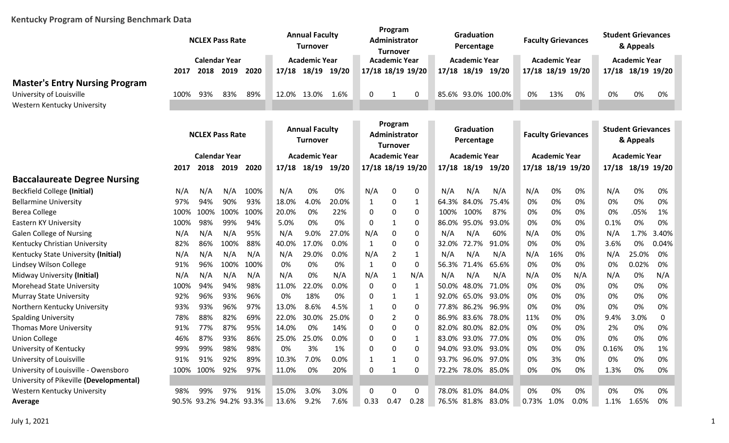## **Kentucky Program of Nursing Benchmark Data**

|                                         |      |           | <b>NCLEX Pass Rate</b>  |      | <b>Annual Faculty</b><br><b>Turnover</b> |                      | Program<br>Administrator<br><b>Turnover</b> |                                  |                      | Graduation<br>Percentage |                                 | <b>Faculty Grievances</b> |                           |                   | <b>Student Grievances</b><br>& Appeals |                                        |                      |                   |       |
|-----------------------------------------|------|-----------|-------------------------|------|------------------------------------------|----------------------|---------------------------------------------|----------------------------------|----------------------|--------------------------|---------------------------------|---------------------------|---------------------------|-------------------|----------------------------------------|----------------------------------------|----------------------|-------------------|-------|
|                                         |      |           | <b>Calendar Year</b>    |      | <b>Academic Year</b>                     | <b>Academic Year</b> |                                             |                                  |                      | <b>Academic Year</b>     |                                 |                           | <b>Academic Year</b>      |                   | <b>Academic Year</b>                   |                                        |                      |                   |       |
|                                         | 2017 | 2018      | 2019                    | 2020 | 17/18                                    | 18/19 19/20          |                                             | 17/18 18/19 19/20                |                      |                          | 17/18 18/19 19/20               |                           |                           | 17/18 18/19 19/20 |                                        |                                        |                      | 17/18 18/19 19/20 |       |
| <b>Master's Entry Nursing Program</b>   |      |           |                         |      |                                          |                      |                                             |                                  |                      |                          |                                 |                           |                           |                   |                                        |                                        |                      |                   |       |
| University of Louisville                | 100% | 93%       | 83%                     | 89%  | 12.0%                                    | 13.0%                | 1.6%                                        | 0                                |                      | 0                        | 85.6% 93.0% 100.0%              |                           |                           | 0%                | 13%                                    | 0%                                     | 0%                   | 0%                | 0%    |
| Western Kentucky University             |      |           |                         |      |                                          |                      |                                             |                                  |                      |                          |                                 |                           |                           |                   |                                        |                                        |                      |                   |       |
|                                         |      |           |                         |      |                                          |                      |                                             |                                  | Program              |                          |                                 |                           |                           |                   |                                        |                                        |                      |                   |       |
|                                         |      |           | <b>NCLEX Pass Rate</b>  |      | <b>Annual Faculty</b><br><b>Turnover</b> |                      |                                             | Administrator<br><b>Turnover</b> |                      |                          | <b>Graduation</b><br>Percentage |                           | <b>Faculty Grievances</b> |                   |                                        | <b>Student Grievances</b><br>& Appeals |                      |                   |       |
|                                         |      |           | <b>Calendar Year</b>    |      | <b>Academic Year</b>                     |                      |                                             |                                  | <b>Academic Year</b> |                          |                                 | <b>Academic Year</b>      |                           |                   | <b>Academic Year</b>                   |                                        | <b>Academic Year</b> |                   |       |
|                                         | 2017 | 2018      | 2019                    | 2020 | 17/18                                    | 18/19 19/20          |                                             |                                  |                      | 17/18 18/19 19/20        | 17/18 18/19 19/20               |                           |                           | 17/18 18/19 19/20 |                                        |                                        |                      | 17/18 18/19 19/20 |       |
| <b>Baccalaureate Degree Nursing</b>     |      |           |                         |      |                                          |                      |                                             |                                  |                      |                          |                                 |                           |                           |                   |                                        |                                        |                      |                   |       |
| <b>Beckfield College (Initial)</b>      | N/A  | N/A       | N/A                     | 100% | N/A                                      | 0%                   | 0%                                          | N/A                              | 0                    | 0                        | N/A                             | N/A                       | N/A                       | N/A               | 0%                                     | 0%                                     | N/A                  | 0%                | 0%    |
| <b>Bellarmine University</b>            | 97%  | 94%       | 90%                     | 93%  | 18.0%                                    | 4.0%                 | 20.0%                                       | 1                                | 0                    | 1                        | 64.3% 84.0%                     |                           | 75.4%                     | 0%                | 0%                                     | 0%                                     | 0%                   | 0%                | 0%    |
| <b>Berea College</b>                    | 100% | 100%      | 100%                    | 100% | 20.0%                                    | 0%                   | 22%                                         | 0                                | 0                    | 0                        | 100%                            | 100%                      | 87%                       | 0%                | 0%                                     | 0%                                     | 0%                   | .05%              | 1%    |
| Eastern KY University                   | 100% | 98%       | 99%                     | 94%  | 5.0%                                     | 0%                   | 0%                                          | 0                                | $\mathbf{1}$         | 0                        | 86.0% 95.0%                     |                           | 93.0%                     | 0%                | 0%                                     | 0%                                     | 0.1%                 | 0%                | 0%    |
| <b>Galen College of Nursing</b>         | N/A  | N/A       | N/A                     | 95%  | N/A                                      | 9.0%                 | 27.0%                                       | N/A                              | 0                    | 0                        | N/A                             | N/A                       | 60%                       | N/A               | 0%                                     | 0%                                     | N/A                  | 1.7%              | 3.40% |
| Kentucky Christian University           | 82%  | 86%       | 100%                    | 88%  | 40.0%                                    | 17.0%                | 0.0%                                        | $\mathbf{1}$                     | 0                    | 0                        | 32.0%                           | 72.7%                     | 91.0%                     | 0%                | 0%                                     | 0%                                     | 3.6%                 | 0%                | 0.04% |
| Kentucky State University (Initial)     | N/A  | N/A       | N/A                     | N/A  | N/A                                      | 29.0%                | 0.0%                                        | N/A                              | 2                    | 1                        | N/A                             | N/A                       | N/A                       | N/A               | 16%                                    | 0%                                     | N/A                  | 25.0%             | 0%    |
| Lindsey Wilson College                  | 91%  | 96%       | 100%                    | 100% | 0%                                       | 0%                   | 0%                                          | 1                                | 0                    | 0                        | 56.3%                           | 71.4%                     | 65.6%                     | 0%                | 0%                                     | 0%                                     | 0%                   | 0.02%             | 0%    |
| Midway University (Initial)             | N/A  | N/A       | N/A                     | N/A  | N/A                                      | 0%                   | N/A                                         | N/A                              | 1                    | N/A                      | N/A                             | N/A                       | N/A                       | N/A               | 0%                                     | N/A                                    | N/A                  | 0%                | N/A   |
| <b>Morehead State University</b>        | 100% | 94%       | 94%                     | 98%  | 11.0%                                    | 22.0%                | 0.0%                                        | 0                                | 0                    | 1                        | 50.0%                           | 48.0%                     | 71.0%                     | 0%                | 0%                                     | 0%                                     | 0%                   | 0%                | 0%    |
| <b>Murray State University</b>          | 92%  | 96%       | 93%                     | 96%  | 0%                                       | 18%                  | 0%                                          | 0                                | 1                    | 1                        | 92.0% 65.0%                     |                           | 93.0%                     | 0%                | 0%                                     | 0%                                     | 0%                   | 0%                | 0%    |
| Northern Kentucky University            | 93%  | 93%       | 96%                     | 97%  | 13.0%                                    | 8.6%                 | 4.5%                                        | $\mathbf{1}$                     | 0                    | 0                        | 77.8% 86.2%                     |                           | 96.9%                     | 0%                | 0%                                     | 0%                                     | 0%                   | 0%                | 0%    |
| <b>Spalding University</b>              | 78%  | 88%       | 82%                     | 69%  | 22.0%                                    | 30.0%                | 25.0%                                       | 0                                | 2                    | 0                        | 86.9% 83.6%                     |                           | 78.0%                     | 11%               | 0%                                     | 0%                                     | 9.4%                 | 3.0%              | 0     |
| <b>Thomas More University</b>           | 91%  | 77%       | 87%                     | 95%  | 14.0%                                    | 0%                   | 14%                                         | 0                                | 0                    | 0                        | 82.0%                           |                           | 80.0% 82.0%               | 0%                | 0%                                     | 0%                                     | 2%                   | 0%                | 0%    |
| <b>Union College</b>                    | 46%  | 87%       | 93%                     | 86%  | 25.0%                                    | 25.0%                | 0.0%                                        | 0                                | 0                    |                          | 83.0% 93.0%                     |                           | 77.0%                     | 0%                | 0%                                     | 0%                                     | 0%                   | 0%                | 0%    |
| University of Kentucky                  | 99%  | 99%       | 98%                     | 98%  | 0%                                       | 3%                   | 1%                                          |                                  | n                    | 0                        | 94.0% 93.0% 93.0%               |                           |                           | 0%                | 0%                                     | 0%                                     | 0.16%                | 0%                | 1%    |
| University of Louisville                | 91%  | 91%       | 92%                     | 89%  | 10.3%                                    | 7.0%                 | 0.0%                                        |                                  |                      | 0                        | 93.7% 96.0% 97.0%               |                           |                           | 0%                | 3%                                     | 0%                                     | 0%                   | 0%                | 0%    |
| University of Louisville - Owensboro    |      | 100% 100% | 92%                     | 97%  | 11.0%                                    | 0%                   | 20%                                         | 0                                | 1                    | 0                        | 72.2% 78.0% 85.0%               |                           |                           | 0%                | 0%                                     | 0%                                     | 1.3%                 | 0%                | 0%    |
| University of Pikeville (Developmental) |      |           |                         |      |                                          |                      |                                             |                                  |                      |                          |                                 |                           |                           |                   |                                        |                                        |                      |                   |       |
| Western Kentucky University             | 98%  | 99%       | 97%                     | 91%  | 15.0%                                    | 3.0%                 | 3.0%                                        | 0                                | 0                    | 0                        | 78.0% 81.0% 84.0%               |                           |                           | 0%                | 0%                                     | 0%                                     | 0%                   | 0%                | 0%    |
| Average                                 |      |           | 90.5% 93.2% 94.2% 93.3% |      | 13.6% 9.2%                               |                      | 7.6%                                        | 0.33                             | 0.47                 | 0.28                     | 76.5% 81.8% 83.0%               |                           |                           | 0.73% 1.0%        |                                        | $0.0\%$                                | 1.1%                 | 1.65%             | 0%    |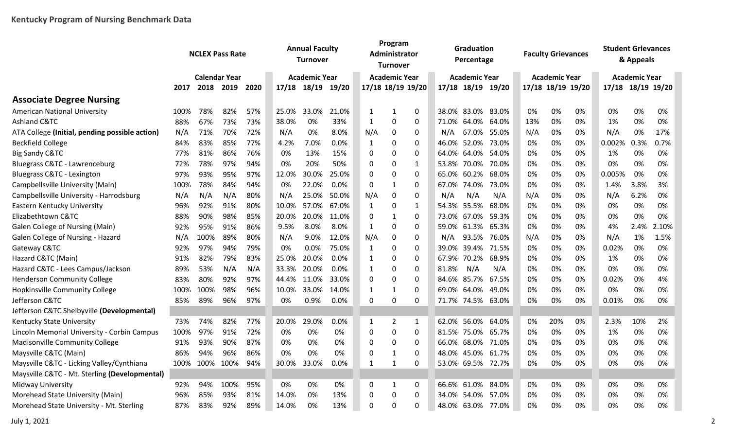|                                                | <b>NCLEX Pass Rate</b> |                      |      |      | <b>Annual Faculty</b><br><b>Turnover</b> |                      |       | Program<br>Administrator<br><b>Turnover</b> |                      |              |       | Graduation<br>Percentage |       |     | <b>Faculty Grievances</b> |    | <b>Student Grievances</b><br>& Appeals |                      |       |
|------------------------------------------------|------------------------|----------------------|------|------|------------------------------------------|----------------------|-------|---------------------------------------------|----------------------|--------------|-------|--------------------------|-------|-----|---------------------------|----|----------------------------------------|----------------------|-------|
|                                                |                        | <b>Calendar Year</b> |      |      |                                          | <b>Academic Year</b> |       |                                             | <b>Academic Year</b> |              |       | <b>Academic Year</b>     |       |     | <b>Academic Year</b>      |    |                                        | <b>Academic Year</b> |       |
|                                                | 2017                   | 2018 2019            |      | 2020 |                                          | 17/18 18/19 19/20    |       | 17/18 18/19 19/20                           |                      |              |       | 17/18 18/19 19/20        |       |     | 17/18 18/19 19/20         |    | 17/18 18/19 19/20                      |                      |       |
| <b>Associate Degree Nursing</b>                |                        |                      |      |      |                                          |                      |       |                                             |                      |              |       |                          |       |     |                           |    |                                        |                      |       |
| <b>American National University</b>            | 100%                   | 78%                  | 82%  | 57%  | 25.0%                                    | 33.0%                | 21.0% | 1                                           | -1                   | 0            |       | 38.0% 83.0% 83.0%        |       | 0%  | 0%                        | 0% | 0%                                     | 0%                   | 0%    |
| Ashland C&TC                                   | 88%                    | 67%                  | 73%  | 73%  | 38.0%                                    | 0%                   | 33%   | 1                                           | $\mathbf 0$          | 0            |       | 71.0% 64.0%              | 64.0% | 13% | 0%                        | 0% | 1%                                     | 0%                   | 0%    |
| ATA College (Initial, pending possible action) | N/A                    | 71%                  | 70%  | 72%  | N/A                                      | 0%                   | 8.0%  | N/A                                         | $\pmb{0}$            | 0            | N/A   | 67.0% 55.0%              |       | N/A | 0%                        | 0% | N/A                                    | 0%                   | 17%   |
| <b>Beckfield College</b>                       | 84%                    | 83%                  | 85%  | 77%  | 4.2%                                     | 7.0%                 | 0.0%  | 1                                           | 0                    | 0            | 46.0% | 52.0%                    | 73.0% | 0%  | 0%                        | 0% | 0.002%                                 | 0.3%                 | 0.7%  |
| <b>Big Sandy C&amp;TC</b>                      | 77%                    | 81%                  | 86%  | 76%  | 0%                                       | 13%                  | 15%   | 0                                           | $\mathbf 0$          | 0            |       | 64.0% 64.0%              | 54.0% | 0%  | 0%                        | 0% | 1%                                     | 0%                   | 0%    |
| Bluegrass C&TC - Lawrenceburg                  | 72%                    | 78%                  | 97%  | 94%  | 0%                                       | 20%                  | 50%   | $\Omega$                                    | 0                    | $\mathbf{1}$ |       | 53.8% 70.0%              | 70.0% | 0%  | 0%                        | 0% | 0%                                     | 0%                   | 0%    |
| Bluegrass C&TC - Lexington                     | 97%                    | 93%                  | 95%  | 97%  | 12.0%                                    | 30.0%                | 25.0% | 0                                           | $\mathbf 0$          | $\Omega$     | 65.0% | 60.2%                    | 68.0% | 0%  | 0%                        | 0% | 0.005%                                 | 0%                   | 0%    |
| Campbellsville University (Main)               | 100%                   | 78%                  | 84%  | 94%  | 0%                                       | 22.0%                | 0.0%  | 0                                           | 1                    | 0            |       | 67.0% 74.0%              | 73.0% | 0%  | 0%                        | 0% | 1.4%                                   | 3.8%                 | 3%    |
| Campbellsville University - Harrodsburg        | N/A                    | N/A                  | N/A  | 80%  | N/A                                      | 25.0%                | 50.0% | N/A                                         | 0                    | $\Omega$     | N/A   | N/A                      | N/A   | N/A | 0%                        | 0% | N/A                                    | 6.2%                 | 0%    |
| Eastern Kentucky University                    | 96%                    | 92%                  | 91%  | 80%  | 10.0%                                    | 57.0%                | 67.0% | 1                                           | 0                    | 1            |       | 54.3% 55.5%              | 68.0% | 0%  | 0%                        | 0% | 0%                                     | 0%                   | 0%    |
| Elizabethtown C&TC                             | 88%                    | 90%                  | 98%  | 85%  | 20.0%                                    | 20.0%                | 11.0% | 0                                           | 1                    | 0            |       | 73.0% 67.0%              | 59.3% | 0%  | 0%                        | 0% | 0%                                     | 0%                   | 0%    |
| Galen College of Nursing (Main)                | 92%                    | 95%                  | 91%  | 86%  | 9.5%                                     | 8.0%                 | 8.0%  | 1                                           | $\mathbf 0$          | 0            |       | 59.0% 61.3%              | 65.3% | 0%  | 0%                        | 0% | 4%                                     | 2.4%                 | 2.10% |
| Galen College of Nursing - Hazard              | N/A                    | 100%                 | 89%  | 80%  | N/A                                      | 9.0%                 | 12.0% | N/A                                         | $\mathbf 0$          | 0            | N/A   | 93.5%                    | 76.0% | N/A | 0%                        | 0% | N/A                                    | 1%                   | 1.5%  |
| Gateway C&TC                                   | 92%                    | 97%                  | 94%  | 79%  | 0%                                       | 0.0%                 | 75.0% | 1                                           | $\mathbf 0$          | 0            | 39.0% | 39.4%                    | 71.5% | 0%  | 0%                        | 0% | 0.02%                                  | 0%                   | 0%    |
| Hazard C&TC (Main)                             | 91%                    | 82%                  | 79%  | 83%  | 25.0%                                    | 20.0%                | 0.0%  | 1                                           | 0                    | $\mathbf 0$  | 67.9% | 70.2%                    | 68.9% | 0%  | 0%                        | 0% | 1%                                     | 0%                   | 0%    |
| Hazard C&TC - Lees Campus/Jackson              | 89%                    | 53%                  | N/A  | N/A  | 33.3%                                    | 20.0%                | 0.0%  | 1                                           | $\mathbf 0$          | 0            | 81.8% | N/A                      | N/A   | 0%  | 0%                        | 0% | 0%                                     | 0%                   | 0%    |
| <b>Henderson Community College</b>             | 83%                    | 80%                  | 92%  | 97%  | 44.4%                                    | 11.0%                | 33.0% | 0                                           | $\mathbf 0$          | $\mathbf 0$  |       | 84.6% 85.7%              | 67.5% | 0%  | 0%                        | 0% | 0.02%                                  | 0%                   | 4%    |
| Hopkinsville Community College                 | 100%                   | 100%                 | 98%  | 96%  | 10.0%                                    | 33.0%                | 14.0% | 1                                           | $\mathbf{1}$         | 0            |       | 69.0% 64.0%              | 49.0% | 0%  | 0%                        | 0% | 0%                                     | 0%                   | 0%    |
| Jefferson C&TC                                 | 85%                    | 89%                  | 96%  | 97%  | 0%                                       | 0.9%                 | 0.0%  | $\Omega$                                    | $\Omega$             | $\Omega$     |       | 71.7% 74.5% 63.0%        |       | 0%  | 0%                        | 0% | 0.01%                                  | 0%                   | 0%    |
| Jefferson C&TC Shelbyville (Developmental)     |                        |                      |      |      |                                          |                      |       |                                             |                      |              |       |                          |       |     |                           |    |                                        |                      |       |
| Kentucky State University                      | 73%                    | 74%                  | 82%  | 77%  | 20.0%                                    | 29.0%                | 0.0%  | 1                                           | 2                    | $\mathbf{1}$ | 62.0% | 56.0%                    | 64.0% | 0%  | 20%                       | 0% | 2.3%                                   | 10%                  | 2%    |
| Lincoln Memorial University - Corbin Campus    | 100%                   | 97%                  | 91%  | 72%  | 0%                                       | 0%                   | 0%    | 0                                           | $\mathbf 0$          | 0            |       | 81.5% 75.0%              | 65.7% | 0%  | 0%                        | 0% | 1%                                     | 0%                   | 0%    |
| <b>Madisonville Community College</b>          | 91%                    | 93%                  | 90%  | 87%  | 0%                                       | 0%                   | 0%    | 0                                           | $\mathbf 0$          | 0            |       | 66.0% 68.0%              | 71.0% | 0%  | 0%                        | 0% | 0%                                     | 0%                   | 0%    |
| Maysville C&TC (Main)                          | 86%                    | 94%                  | 96%  | 86%  | 0%                                       | 0%                   | 0%    | $\mathbf 0$                                 | $\mathbf{1}$         | 0            |       | 48.0% 45.0%              | 61.7% | 0%  | 0%                        | 0% | 0%                                     | 0%                   | 0%    |
| Maysville C&TC - Licking Valley/Cynthiana      | 100%                   | 100%                 | 100% | 94%  | 30.0%                                    | 33.0%                | 0.0%  | 1                                           | $\mathbf 1$          | $\Omega$     |       | 53.0% 69.5% 72.7%        |       | 0%  | 0%                        | 0% | 0%                                     | 0%                   | 0%    |
| Maysville C&TC - Mt. Sterling (Developmental)  |                        |                      |      |      |                                          |                      |       |                                             |                      |              |       |                          |       |     |                           |    |                                        |                      |       |
| Midway University                              | 92%                    | 94%                  | 100% | 95%  | 0%                                       | 0%                   | 0%    | 0                                           | 1                    | 0            |       | 66.6% 61.0%              | 84.0% | 0%  | 0%                        | 0% | 0%                                     | 0%                   | 0%    |
| Morehead State University (Main)               | 96%                    | 85%                  | 93%  | 81%  | 14.0%                                    | 0%                   | 13%   | $\Omega$                                    | $\Omega$             | 0            |       | 34.0% 54.0%              | 57.0% | 0%  | 0%                        | 0% | 0%                                     | 0%                   | 0%    |
| Morehead State University - Mt. Sterling       | 87%                    | 83%                  | 92%  | 89%  | 14.0%                                    | 0%                   | 13%   | $\Omega$                                    | $\Omega$             | $\Omega$     |       | 48.0% 63.0% 77.0%        |       | 0%  | 0%                        | 0% | 0%                                     | 0%                   | 0%    |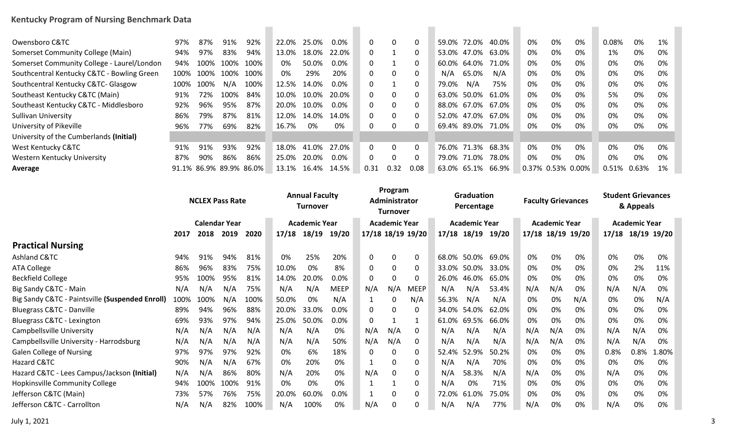## **Kentucky Program of Nursing Benchmark Data**

| Owensboro C&TC                             | 97%  | 87%                     | 91%  | 92%  | 22.0% | 25.0% | $0.0\%$ | 0            | 0            |      | 59.0%       | 72.0%             | 40.0% | 0%                | 0% | 0% | 0.08% | 0%    | 1% |
|--------------------------------------------|------|-------------------------|------|------|-------|-------|---------|--------------|--------------|------|-------------|-------------------|-------|-------------------|----|----|-------|-------|----|
| Somerset Community College (Main)          | 94%  | 97%                     | 83%  | 94%  | 13.0% | 18.0% | 22.0%   | 0            |              |      | 53.0% 47.0% |                   | 63.0% | 0%                | 0% | 0% | 1%    | 0%    | 0% |
| Somerset Community College - Laurel/London | 94%  | 100%                    | 100% | 100% | 0%    | 50.0% | $0.0\%$ | 0            |              |      |             | 60.0% 64.0%       | 71.0% | 0%                | 0% | 0% | 0%    | 0%    | 0% |
| Southcentral Kentucky C&TC - Bowling Green | 100% | 100%                    | 100% | 100% | 0%    | 29%   | 20%     | 0            | 0            |      | N/A         | 65.0%             | N/A   | 0%                | 0% | 0% | 0%    | 0%    | 0% |
| Southcentral Kentucky C&TC- Glasgow        | 100% | 100%                    | N/A  | 100% | 12.5% | 14.0% | $0.0\%$ | 0            |              |      | 79.0%       | N/A               | 75%   | 0%                | 0% | 0% | 0%    | 0%    | 0% |
| Southeast Kentucky C&TC (Main)             | 91%  | 72%                     | 100% | 84%  | 10.0% | 10.0% | 20.0%   | $\Omega$     | $\mathbf{0}$ |      | 63.0%       | 50.0% 61.0%       |       | 0%                | 0% | 0% | 5%    | 0%    | 0% |
| Southeast Kentucky C&TC - Middlesboro      | 92%  | 96%                     | 95%  | 87%  | 20.0% | 10.0% | $0.0\%$ | 0            | $\mathbf{0}$ |      | 88.0% 67.0% |                   | 67.0% | 0%                | 0% | 0% | 0%    | 0%    | 0% |
| <b>Sullivan University</b>                 | 86%  | 79%                     | 87%  | 81%  | 12.0% | 14.0% | 14.0%   | 0            | $\mathbf{0}$ |      | 52.0%       | 47.0%             | 67.0% | 0%                | 0% | 0% | 0%    | 0%    | 0% |
| University of Pikeville                    | 96%  | 77%                     | 69%  | 82%  | 16.7% | 0%    | 0%      |              | 0            |      |             | 69.4% 89.0% 71.0% |       | 0%                | 0% | 0% | 0%    | 0%    | 0% |
| University of the Cumberlands (Initial)    |      |                         |      |      |       |       |         |              |              |      |             |                   |       |                   |    |    |       |       |    |
| West Kentucky C&TC                         | 91%  | 91%                     | 93%  | 92%  | 18.0% | 41.0% | 27.0%   | $\mathbf{0}$ | $\Omega$     |      |             | 76.0% 71.3%       | 68.3% | 0%                | 0% | 0% | 0%    | 0%    | 0% |
| Western Kentucky University                | 87%  | 90%                     | 86%  | 86%  | 25.0% | 20.0% | $0.0\%$ | 0            | $\mathbf{0}$ |      | 79.0%       | 71.0%             | 78.0% | 0%                | 0% | 0% | 0%    | 0%    | 0% |
| Average                                    |      | 91.1% 86.9% 89.9% 86.0% |      |      | 13.1% | 16.4% | 14.5%   | 0.31         | 0.32         | 0.08 | 63.0% 65.1% |                   | 66.9% | 0.37% 0.53% 0.00% |    |    | 0.51% | 0.63% | 1% |

|                                                 |      |      | <b>NCLEX Pass Rate</b> |      | <b>Annual Faculty</b><br>Turnover |       |             | Program<br>Administrator<br><b>Turnover</b> |          |                   |                      | <b>Graduation</b><br>Percentage |       |                      | <b>Faculty Grievances</b> |                   | <b>Student Grievances</b><br>& Appeals |                      |                   |
|-------------------------------------------------|------|------|------------------------|------|-----------------------------------|-------|-------------|---------------------------------------------|----------|-------------------|----------------------|---------------------------------|-------|----------------------|---------------------------|-------------------|----------------------------------------|----------------------|-------------------|
|                                                 |      |      | <b>Calendar Year</b>   |      | <b>Academic Year</b>              |       |             | <b>Academic Year</b>                        |          |                   | <b>Academic Year</b> |                                 |       | <b>Academic Year</b> |                           |                   |                                        | <b>Academic Year</b> |                   |
|                                                 | 2017 | 2018 | 2019                   | 2020 | 17/18                             | 18/19 | 19/20       |                                             |          | 17/18 18/19 19/20 |                      | 17/18 18/19                     | 19/20 |                      |                           | 17/18 18/19 19/20 |                                        |                      | 17/18 18/19 19/20 |
| <b>Practical Nursing</b>                        |      |      |                        |      |                                   |       |             |                                             |          |                   |                      |                                 |       |                      |                           |                   |                                        |                      |                   |
| Ashland C&TC                                    | 94%  | 91%  | 94%                    | 81%  | 0%                                | 25%   | 20%         | $\mathbf{0}$                                | $\Omega$ | 0                 | 68.0%                | 50.0%                           | 69.0% | 0%                   | 0%                        | 0%                | 0%                                     | 0%                   | 0%                |
| <b>ATA College</b>                              | 86%  | 96%  | 83%                    | 75%  | 10.0%                             | 0%    | 8%          | $\mathbf{0}$                                | $\Omega$ | 0                 | 33.0%                | 50.0%                           | 33.0% | 0%                   | 0%                        | 0%                | 0%                                     | 2%                   | 11%               |
| <b>Beckfield College</b>                        | 95%  | 100% | 95%                    | 81%  | 14.0%                             | 20.0% | 0.0%        | 0                                           | 0        | 0                 | 26.0%                | 46.0%                           | 65.0% | 0%                   | 0%                        | 0%                | 0%                                     | 0%                   | 0%                |
| Big Sandy C&TC - Main                           | N/A  | N/A  | N/A                    | 75%  | N/A                               | N/A   | <b>MEEP</b> | N/A                                         | N/A      | <b>MEEP</b>       | N/A                  | N/A                             | 53.4% | N/A                  | N/A                       | 0%                | N/A                                    | N/A                  | 0%                |
| Big Sandy C&TC - Paintsville (Suspended Enroll) | 100% | 100% | N/A                    | 100% | 50.0%                             | 0%    | N/A         | 1                                           | $\Omega$ | N/A               | 56.3%                | N/A                             | N/A   | 0%                   | 0%                        | N/A               | 0%                                     | 0%                   | N/A               |
| <b>Bluegrass C&amp;TC - Danville</b>            | 89%  | 94%  | 96%                    | 88%  | 20.0%                             | 33.0% | 0.0%        | 0                                           | $\Omega$ | 0                 | 34.0%                | 54.0%                           | 62.0% | 0%                   | 0%                        | 0%                | 0%                                     | 0%                   | 0%                |
| Bluegrass C&TC - Lexington                      | 69%  | 93%  | 97%                    | 94%  | 25.0%                             | 50.0% | 0.0%        | 0                                           |          |                   | 61.0%                | 69.5%                           | 66.0% | 0%                   | 0%                        | 0%                | 0%                                     | 0%                   | 0%                |
| Campbellsville University                       | N/A  | N/A  | N/A                    | N/A  | N/A                               | N/A   | 0%          | N/A                                         | N/A      | 0                 | N/A                  | N/A                             | N/A   | N/A                  | N/A                       | 0%                | N/A                                    | N/A                  | 0%                |
| Campbellsville University - Harrodsburg         | N/A  | N/A  | N/A                    | N/A  | N/A                               | N/A   | 50%         | N/A                                         | N/A      | 0                 | N/A                  | N/A                             | N/A   | N/A                  | N/A                       | 0%                | N/A                                    | N/A                  | 0%                |
| <b>Galen College of Nursing</b>                 | 97%  | 97%  | 97%                    | 92%  | 0%                                | 6%    | 18%         | 0                                           | 0        | 0                 | 52.4%                | 52.9%                           | 50.2% | 0%                   | 0%                        | 0%                | 0.8%                                   | 0.8%                 | 1.80%             |
| Hazard C&TC                                     | 90%  | N/A  | N/A                    | 67%  | 0%                                | 20%   | 0%          | 1                                           | 0        | 0                 | N/A                  | N/A                             | 70%   | 0%                   | 0%                        | 0%                | 0%                                     | 0%                   | 0%                |
| Hazard C&TC - Lees Campus/Jackson (Initial)     | N/A  | N/A  | 86%                    | 80%  | N/A                               | 20%   | 0%          | N/A                                         | 0        | 0                 | N/A                  | 58.3%                           | N/A   | N/A                  | 0%                        | 0%                | N/A                                    | 0%                   | 0%                |
| Hopkinsville Community College                  | 94%  | 100% | 100%                   | 91%  | 0%                                | 0%    | 0%          |                                             |          | 0                 | N/A                  | 0%                              | 71%   | 0%                   | 0%                        | 0%                | 0%                                     | 0%                   | 0%                |
| Jefferson C&TC (Main)                           | 73%  | 57%  | 76%                    | 75%  | 20.0%                             | 60.0% | 0.0%        | 1                                           | 0        | 0                 | 72.0%                | 61.0%                           | 75.0% | 0%                   | 0%                        | 0%                | 0%                                     | 0%                   | 0%                |
| Jefferson C&TC - Carrollton                     | N/A  | N/A  | 82%                    | 100% | N/A                               | 100%  | 0%          | N/A                                         | $\Omega$ | $\Omega$          | N/A                  | N/A                             | 77%   | N/A                  | 0%                        | 0%                | N/A                                    | 0%                   | 0%                |